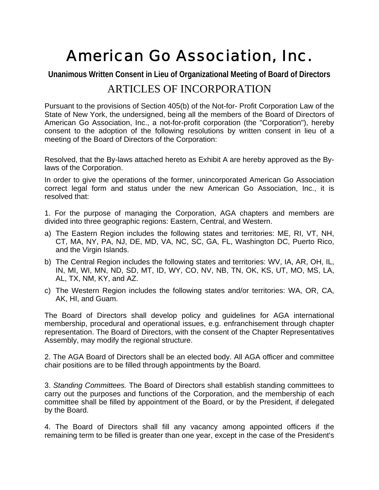# American Go Association, Inc.

**Unanimous Written Consent in Lieu of Organizational Meeting of Board of Directors**

## ARTICLES OF INCORPORATION

Pursuant to the provisions of Section 405(b) of the Not-for- Profit Corporation Law of the State of New York, the undersigned, being all the members of the Board of Directors of American Go Association, Inc., a not-for-profit corporation (the "Corporation"), hereby consent to the adoption of the following resolutions by written consent in lieu of a meeting of the Board of Directors of the Corporation:

Resolved, that the By-laws attached hereto as Exhibit A are hereby approved as the Bylaws of the Corporation.

In order to give the operations of the former, unincorporated American Go Association correct legal form and status under the new American Go Association, Inc., it is resolved that:

1. For the purpose of managing the Corporation, AGA chapters and members are divided into three geographic regions: Eastern, Central, and Western.

- a) The Eastern Region includes the following states and territories: ME, RI, VT, NH, CT, MA, NY, PA, NJ, DE, MD, VA, NC, SC, GA, FL, Washington DC, Puerto Rico, and the Virgin Islands.
- b) The Central Region includes the following states and territories: WV, IA, AR, OH, IL, IN, MI, WI, MN, ND, SD, MT, ID, WY, CO, NV, NB, TN, OK, KS, UT, MO, MS, LA, AL, TX, NM, KY, and AZ.
- c) The Western Region includes the following states and/or territories: WA, OR, CA, AK, HI, and Guam.

The Board of Directors shall develop policy and guidelines for AGA international membership, procedural and operational issues, e.g. enfranchisement through chapter representation. The Board of Directors, with the consent of the Chapter Representatives Assembly, may modify the regional structure.

2. The AGA Board of Directors shall be an elected body. All AGA officer and committee chair positions are to be filled through appointments by the Board.

3. *Standing Committees.* The Board of Directors shall establish standing committees to carry out the purposes and functions of the Corporation, and the membership of each committee shall be filled by appointment of the Board, or by the President, if delegated by the Board.

4. The Board of Directors shall fill any vacancy among appointed officers if the remaining term to be filled is greater than one year, except in the case of the President's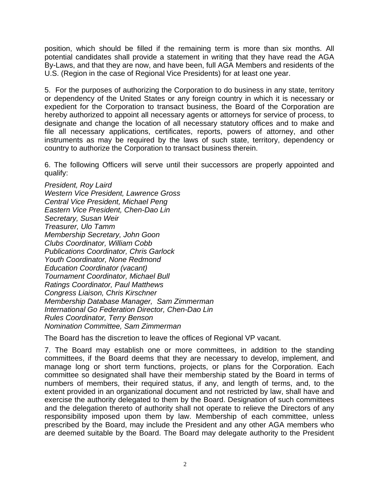position, which should be filled if the remaining term is more than six months. All potential candidates shall provide a statement in writing that they have read the AGA By-Laws, and that they are now, and have been, full AGA Members and residents of the U.S. (Region in the case of Regional Vice Presidents) for at least one year.

5. For the purposes of authorizing the Corporation to do business in any state, territory or dependency of the United States or any foreign country in which it is necessary or expedient for the Corporation to transact business, the Board of the Corporation are hereby authorized to appoint all necessary agents or attorneys for service of process, to designate and change the location of all necessary statutory offices and to make and file all necessary applications, certificates, reports, powers of attorney, and other instruments as may be required by the laws of such state, territory, dependency or country to authorize the Corporation to transact business therein.

6. The following Officers will serve until their successors are properly appointed and qualify:

*President, Roy Laird Western Vice President, Lawrence Gross Central Vice President, Michael Peng Eastern Vice President, Chen-Dao Lin Secretary, Susan Weir Treasurer, Ulo Tamm Membership Secretary, John Goon Clubs Coordinator, William Cobb Publications Coordinator, Chris Garlock Youth Coordinator, None Redmond Education Coordinator (vacant) Tournament Coordinator, Michael Bull Ratings Coordinator, Paul Matthews Congress Liaison, Chris Kirschner Membership Database Manager, Sam Zimmerman International Go Federation Director, Chen-Dao Lin Rules Coordinator, Terry Benson Nomination Committee, Sam Zimmerman*

The Board has the discretion to leave the offices of Regional VP vacant.

7. The Board may establish one or more committees, in addition to the standing committees, if the Board deems that they are necessary to develop, implement, and manage long or short term functions, projects, or plans for the Corporation. Each committee so designated shall have their membership stated by the Board in terms of numbers of members, their required status, if any, and length of terms, and, to the extent provided in an organizational document and not restricted by law, shall have and exercise the authority delegated to them by the Board. Designation of such committees and the delegation thereto of authority shall not operate to relieve the Directors of any responsibility imposed upon them by law. Membership of each committee, unless prescribed by the Board, may include the President and any other AGA members who are deemed suitable by the Board. The Board may delegate authority to the President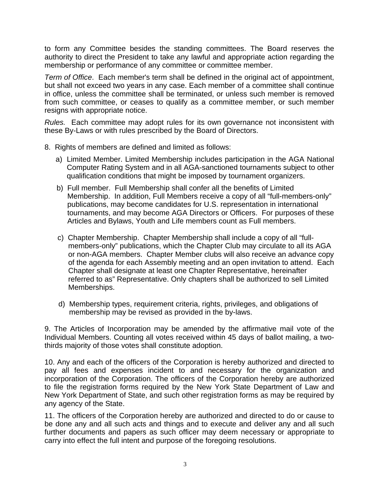to form any Committee besides the standing committees. The Board reserves the authority to direct the President to take any lawful and appropriate action regarding the membership or performance of any committee or committee member.

*Term of Office*. Each member's term shall be defined in the original act of appointment, but shall not exceed two years in any case. Each member of a committee shall continue in office, unless the committee shall be terminated, or unless such member is removed from such committee, or ceases to qualify as a committee member, or such member resigns with appropriate notice.

*Rules.* Each committee may adopt rules for its own governance not inconsistent with these By-Laws or with rules prescribed by the Board of Directors.

- 8. Rights of members are defined and limited as follows:
	- a) Limited Member. Limited Membership includes participation in the AGA National Computer Rating System and in all AGA-sanctioned tournaments subject to other qualification conditions that might be imposed by tournament organizers.
	- b) Full member. Full Membership shall confer all the benefits of Limited Membership. In addition, Full Members receive a copy of all "full-members-only" publications, may become candidates for U.S. representation in international tournaments, and may become AGA Directors or Officers. For purposes of these Articles and Bylaws, Youth and Life members count as Full members.
	- c) Chapter Membership. Chapter Membership shall include a copy of all "fullmembers-only" publications, which the Chapter Club may circulate to all its AGA or non-AGA members. Chapter Member clubs will also receive an advance copy of the agenda for each Assembly meeting and an open invitation to attend. Each Chapter shall designate at least one Chapter Representative, hereinafter referred to as" Representative. Only chapters shall be authorized to sell Limited Memberships.
	- d) Membership types, requirement criteria, rights, privileges, and obligations of membership may be revised as provided in the by-laws.

9. The Articles of Incorporation may be amended by the affirmative mail vote of the Individual Members. Counting all votes received within 45 days of ballot mailing, a twothirds majority of those votes shall constitute adoption.

10. Any and each of the officers of the Corporation is hereby authorized and directed to pay all fees and expenses incident to and necessary for the organization and incorporation of the Corporation. The officers of the Corporation hereby are authorized to file the registration forms required by the New York State Department of Law and New York Department of State, and such other registration forms as may be required by any agency of the State.

11. The officers of the Corporation hereby are authorized and directed to do or cause to be done any and all such acts and things and to execute and deliver any and all such further documents and papers as such officer may deem necessary or appropriate to carry into effect the full intent and purpose of the foregoing resolutions.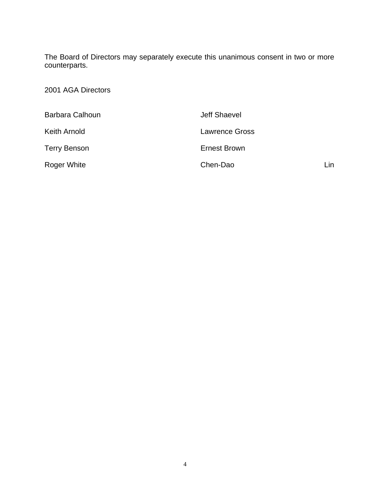The Board of Directors may separately execute this unanimous consent in two or more counterparts.

2001 AGA Directors

| Barbara Calhoun     | Jeff Shaevel          |     |
|---------------------|-----------------------|-----|
| Keith Arnold        | <b>Lawrence Gross</b> |     |
| <b>Terry Benson</b> | Ernest Brown          |     |
| Roger White         | Chen-Dao              | Lin |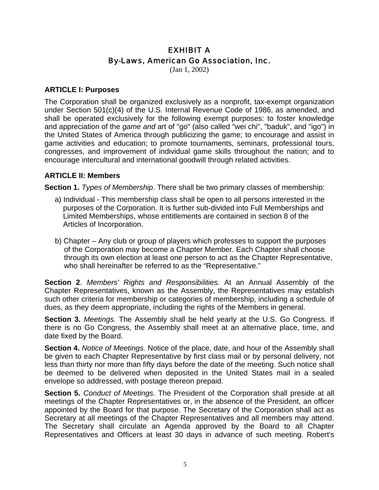### EXHIBIT A By-Laws, American Go Association, Inc.

(Jan 1, 2002)

#### **ARTICLE I: Purposes**

The Corporation shall be organized exclusively as a nonprofit, tax-exempt organization under Section 501(c)(4) of the U.S. Internal Revenue Code of 1986, as amended, and shall be operated exclusively for the following exempt purposes: to foster knowledge and appreciation of the *game and* art of "go" (also called "wei chi", "baduk", and "igo") in the United States of America through publicizing the game; to encourage and assist in game activities and education; to promote tournaments, seminars, professional tours, congresses, and improvement of individual game skills throughout the nation; and to encourage intercultural and international goodwill through related activities.

#### **ARTICLE II: Members**

**Section 1.** *Types of Membership*. There shall be two primary classes of membership:

- a) Individual This membership class shall be open to all persons interested in the purposes of the Corporation. It is further sub-divided into Full Memberships and Limited Memberships, whose entitlements are contained in section 8 of the Articles of Incorporation.
- b) Chapter Any club or group of players which professes to support the purposes of the Corporation may become a Chapter Member. Each Chapter shall choose through its own election at least one person to act as the Chapter Representative, who shall hereinafter be referred to as the "Representative."

**Section 2**. *Members' Rights and Responsibilities.* At an Annual Assembly of the Chapter Representatives, known as the Assembly, the Representatives may establish such other criteria for membership or categories of membership, including a schedule of dues, as they deem appropriate, including the rights of the Members in general.

**Section 3.** *Meetings.* The Assembly shall be held yearly at the U.S. Go Congress. If there is no Go Congress, the Assembly shall meet at an alternative place, time, and date fixed by the Board.

**Section 4.** *Notice of Meetings.* Notice of the place, date, and hour of the Assembly shall be given to each Chapter Representative by first class mail or by personal delivery, not less than thirty nor more than fifty days before the date of the meeting. Such notice shall be deemed to be delivered when deposited in the United States mail in a sealed envelope so addressed, with postage thereon prepaid.

**Section 5.** *Conduct of Meetings.* The President of the Corporation shall preside at all meetings of the Chapter Representatives or, in the absence of the President, an officer appointed by the Board for that purpose. The Secretary of the Corporation shall act as Secretary at all meetings of the Chapter Representatives and all members may attend. The Secretary shall circulate an Agenda approved by the Board to all Chapter Representatives and Officers at least 30 days in advance of such meeting. Robert's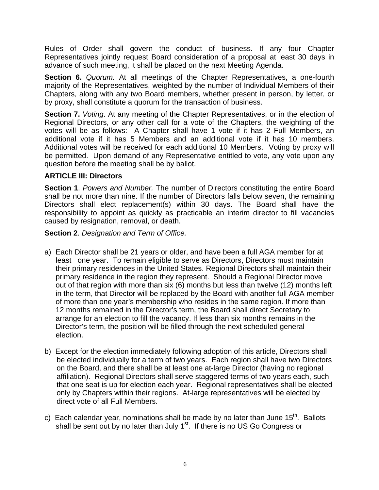Rules of Order shall govern the conduct of business. If any four Chapter Representatives jointly request Board consideration of a proposal at least 30 days in advance of such meeting, it shall be placed on the next Meeting Agenda.

**Section 6.** *Quorum.* At all meetings of the Chapter Representatives, a one-fourth majority of the Representatives, weighted by the number of Individual Members of their Chapters, along with any two Board members, whether present in person, by letter, or by proxy, shall constitute a quorum for the transaction of business.

**Section 7.** *Voting*. At any meeting of the Chapter Representatives, or in the election of Regional Directors, or any other call for a vote of the Chapters, the weighting of the votes will be as follows: A Chapter shall have 1 vote if it has 2 Full Members, an additional vote if it has 5 Members and an additional vote if it has 10 members. Additional votes will be received for each additional 10 Members. Voting by proxy will be permitted. Upon demand of any Representative entitled to vote, any vote upon any question before the meeting shall be by ballot.

#### **ARTICLE III: Directors**

**Section 1**. *Powers and Number.* The number of Directors constituting the entire Board shall be not more than nine. If the number of Directors falls below seven, the remaining Directors shall elect replacement(s) within 30 days. The Board shall have the responsibility to appoint as quickly as practicable an interim director to fill vacancies caused by resignation, removal, or death.

**Section 2**. *Designation and Term of Office.* 

- a) Each Director shall be 21 years or older, and have been a full AGA member for at least one year. To remain eligible to serve as Directors, Directors must maintain their primary residences in the United States. Regional Directors shall maintain their primary residence in the region they represent. Should a Regional Director move out of that region with more than six (6) months but less than twelve (12) months left in the term, that Director will be replaced by the Board with another full AGA member of more than one year's membership who resides in the same region. If more than 12 months remained in the Director's term, the Board shall direct Secretary to arrange for an election to fill the vacancy. If less than six months remains in the Director's term, the position will be filled through the next scheduled general election.
- b) Except for the election immediately following adoption of this article, Directors shall be elected individually for a term of two years. Each region shall have two Directors on the Board, and there shall be at least one at-large Director (having no regional affiliation). Regional Directors shall serve staggered terms of two years each, such that one seat is up for election each year. Regional representatives shall be elected only by Chapters within their regions. At-large representatives will be elected by direct vote of all Full Members.
- c) Each calendar year, nominations shall be made by no later than June  $15<sup>th</sup>$ . Ballots shall be sent out by no later than July  $1<sup>st</sup>$ . If there is no US Go Congress or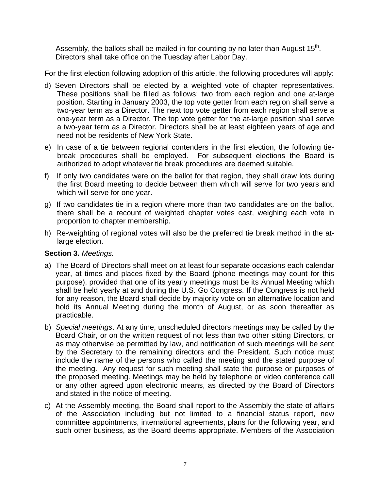Assembly, the ballots shall be mailed in for counting by no later than August  $15<sup>th</sup>$ . Directors shall take office on the Tuesday after Labor Day.

For the first election following adoption of this article, the following procedures will apply:

- d) Seven Directors shall be elected by a weighted vote of chapter representatives. These positions shall be filled as follows: two from each region and one at-large position. Starting in January 2003, the top vote getter from each region shall serve a two-year term as a Director. The next top vote getter from each region shall serve a one-year term as a Director. The top vote getter for the at-large position shall serve a two-year term as a Director. Directors shall be at least eighteen years of age and need not be residents of New York State.
- e) In case of a tie between regional contenders in the first election, the following tiebreak procedures shall be employed. For subsequent elections the Board is authorized to adopt whatever tie break procedures are deemed suitable.
- f) If only two candidates were on the ballot for that region, they shall draw lots during the first Board meeting to decide between them which will serve for two years and which will serve for one year.
- g) If two candidates tie in a region where more than two candidates are on the ballot, there shall be a recount of weighted chapter votes cast, weighing each vote in proportion to chapter membership.
- h) Re-weighting of regional votes will also be the preferred tie break method in the atlarge election.

#### **Section 3.** *Meetings.*

- a) The Board of Directors shall meet on at least four separate occasions each calendar year, at times and places fixed by the Board (phone meetings may count for this purpose), provided that one of its yearly meetings must be its Annual Meeting which shall be held yearly at and during the U.S. Go Congress. If the Congress is not held for any reason, the Board shall decide by majority vote on an alternative location and hold its Annual Meeting during the month of August, or as soon thereafter as practicable.
- b) *Special meetings*. At any time, unscheduled directors meetings may be called by the Board Chair, or on the written request of not less than two other sitting Directors, or as may otherwise be permitted by law, and notification of such meetings will be sent by the Secretary to the remaining directors and the President. Such notice must include the name of the persons who called the meeting and the stated purpose of the meeting. Any request for such meeting shall state the purpose or purposes of the proposed meeting. Meetings may be held by telephone or video conference call or any other agreed upon electronic means, as directed by the Board of Directors and stated in the notice of meeting.
- c) At the Assembly meeting, the Board shall report to the Assembly the state of affairs of the Association including but not limited to a financial status report, new committee appointments, international agreements, plans for the following year, and such other business, as the Board deems appropriate. Members of the Association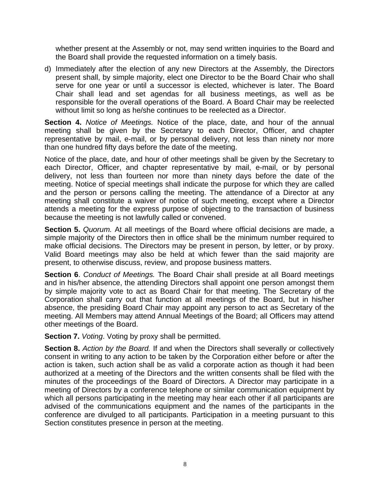whether present at the Assembly or not, may send written inquiries to the Board and the Board shall provide the requested information on a timely basis.

d) Immediately after the election of any new Directors at the Assembly, the Directors present shall, by simple majority, elect one Director to be the Board Chair who shall serve for one year or until a successor is elected, whichever is later. The Board Chair shall lead and set agendas for all business meetings, as well as be responsible for the overall operations of the Board. A Board Chair may be reelected without limit so long as he/she continues to be reelected as a Director.

**Section 4.** *Notice of Meetings.* Notice of the place, date, and hour of the annual meeting shall be given by the Secretary to each Director, Officer, and chapter representative by mail, e-mail, or by personal delivery, not less than ninety nor more than one hundred fifty days before the date of the meeting.

Notice of the place, date, and hour of other meetings shall be given by the Secretary to each Director, Officer, and chapter representative by mail, e-mail, or by personal delivery, not less than fourteen nor more than ninety days before the date of the meeting. Notice of special meetings shall indicate the purpose for which they are called and the person or persons calling the meeting. The attendance of a Director at any meeting shall constitute a waiver of notice of such meeting, except where a Director attends a meeting for the express purpose of objecting to the transaction of business because the meeting is not lawfully called or convened.

**Section 5.** *Quorum.* At all meetings of the Board where official decisions are made, a simple majority of the Directors then in office shall be the minimum number required to make official decisions. The Directors may be present in person, by letter, or by proxy. Valid Board meetings may also be held at which fewer than the said majority are present, to otherwise discuss, review, and propose business matters.

**Section 6**. *Conduct of Meetings.* The Board Chair shall preside at all Board meetings and in his/her absence, the attending Directors shall appoint one person amongst them by simple majority vote to act as Board Chair for that meeting. The Secretary of the Corporation shall carry out that function at all meetings of the Board, but in his/her absence, the presiding Board Chair may appoint any person to act as Secretary of the meeting. All Members may attend Annual Meetings of the Board; all Officers may attend other meetings of the Board.

**Section 7.** *Voting*. Voting by proxy shall be permitted.

**Section 8.** *Action by the Board.* If and when the Directors shall severally or collectively consent in writing to any action to be taken by the Corporation either before or after the action is taken, such action shall be as valid a corporate action as though it had been authorized at a meeting of the Directors and the written consents shall be filed with the minutes of the proceedings of the Board of Directors. A Director may participate in a meeting of Directors by a conference telephone or similar communication equipment by which all persons participating in the meeting may hear each other if all participants are advised of the communications equipment and the names of the participants in the conference are divulged to all participants. Participation in a meeting pursuant to this Section constitutes presence in person at the meeting.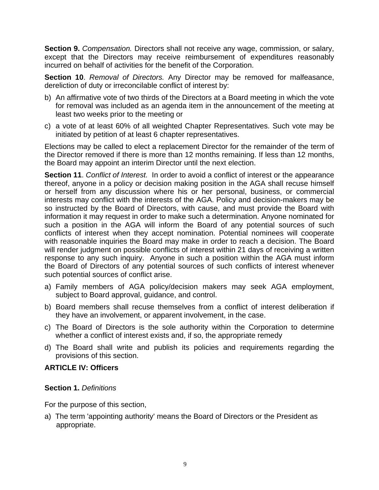**Section 9.** *Compensation.* Directors shall not receive any wage, commission, or salary, except that the Directors may receive reimbursement of expenditures reasonably incurred on behalf of activities for the benefit of the Corporation.

**Section 10**. *Removal of Directors.* Any Director may be removed for malfeasance, dereliction of duty or irreconcilable conflict of interest by:

- b) An affirmative vote of two thirds of the Directors at a Board meeting in which the vote for removal was included as an agenda item in the announcement of the meeting at least two weeks prior to the meeting or
- c) a vote of at least 60% of all weighted Chapter Representatives. Such vote may be initiated by petition of at least 6 chapter representatives.

Elections may be called to elect a replacement Director for the remainder of the term of the Director removed if there is more than 12 months remaining. If less than 12 months, the Board may appoint an interim Director until the next election.

**Section 11**. *Conflict of Interest.* In order to avoid a conflict of interest or the appearance thereof, anyone in a policy or decision making position in the AGA shall recuse himself or herself from any discussion where his or her personal, business, or commercial interests may conflict with the interests of the AGA. Policy and decision-makers may be so instructed by the Board of Directors, with cause, and must provide the Board with information it may request in order to make such a determination. Anyone nominated for such a position in the AGA will inform the Board of any potential sources of such conflicts of interest when they accept nomination. Potential nominees will cooperate with reasonable inquiries the Board may make in order to reach a decision. The Board will render judgment on possible conflicts of interest within 21 days of receiving a written response to any such inquiry. Anyone in such a position within the AGA must inform the Board of Directors of any potential sources of such conflicts of interest whenever such potential sources of conflict arise.

- a) Family members of AGA policy/decision makers may seek AGA employment, subject to Board approval, guidance, and control.
- b) Board members shall recuse themselves from a conflict of interest deliberation if they have an involvement, or apparent involvement, in the case.
- c) The Board of Directors is the sole authority within the Corporation to determine whether a conflict of interest exists and, if so, the appropriate remedy
- d) The Board shall write and publish its policies and requirements regarding the provisions of this section.

#### **ARTICLE IV: Officers**

#### **Section 1.** *Definitions*

For the purpose of this section,

a) The term 'appointing authority' means the Board of Directors or the President as appropriate.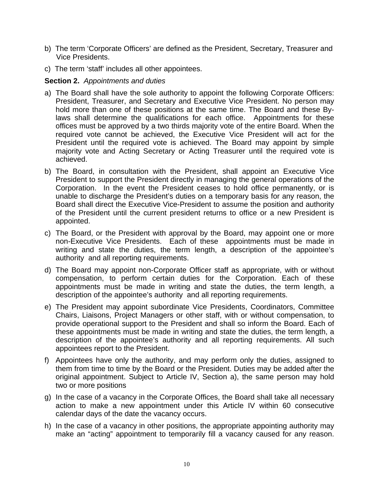- b) The term 'Corporate Officers' are defined as the President, Secretary, Treasurer and Vice Presidents.
- c) The term 'staff' includes all other appointees.

#### **Section 2.** *Appointments and duties*

- a) The Board shall have the sole authority to appoint the following Corporate Officers: President, Treasurer, and Secretary and Executive Vice President. No person may hold more than one of these positions at the same time. The Board and these Bylaws shall determine the qualifications for each office. Appointments for these offices must be approved by a two thirds majority vote of the entire Board. When the required vote cannot be achieved, the Executive Vice President will act for the President until the required vote is achieved. The Board may appoint by simple majority vote and Acting Secretary or Acting Treasurer until the required vote is achieved.
- b) The Board, in consultation with the President, shall appoint an Executive Vice President to support the President directly in managing the general operations of the Corporation. In the event the President ceases to hold office permanently, or is unable to discharge the President's duties on a temporary basis for any reason, the Board shall direct the Executive Vice-President to assume the position and authority of the President until the current president returns to office or a new President is appointed.
- c) The Board, or the President with approval by the Board, may appoint one or more non-Executive Vice Presidents. Each of these appointments must be made in writing and state the duties, the term length, a description of the appointee's authority and all reporting requirements.
- d) The Board may appoint non-Corporate Officer staff as appropriate, with or without compensation, to perform certain duties for the Corporation. Each of these appointments must be made in writing and state the duties, the term length, a description of the appointee's authority and all reporting requirements.
- e) The President may appoint subordinate Vice Presidents, Coordinators, Committee Chairs, Liaisons, Project Managers or other staff, with or without compensation, to provide operational support to the President and shall so inform the Board. Each of these appointments must be made in writing and state the duties, the term length, a description of the appointee's authority and all reporting requirements. All such appointees report to the President.
- f) Appointees have only the authority, and may perform only the duties, assigned to them from time to time by the Board or the President. Duties may be added after the original appointment. Subject to Article IV, Section a), the same person may hold two or more positions
- g) In the case of a vacancy in the Corporate Offices, the Board shall take all necessary action to make a new appointment under this Article IV within 60 consecutive calendar days of the date the vacancy occurs.
- h) In the case of a vacancy in other positions, the appropriate appointing authority may make an "acting" appointment to temporarily fill a vacancy caused for any reason.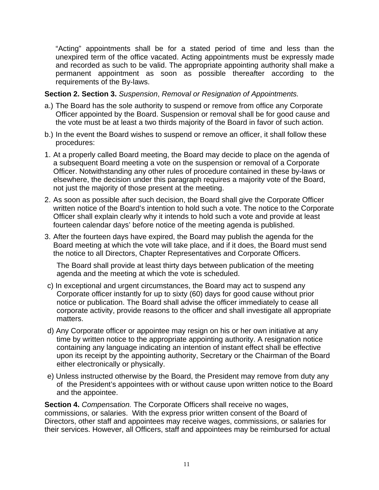"Acting" appointments shall be for a stated period of time and less than the unexpired term of the office vacated. Acting appointments must be expressly made and recorded as such to be valid. The appropriate appointing authority shall make a permanent appointment as soon as possible thereafter according to the requirements of the By-laws.

#### **Section 2. Section 3.** *Suspension*, *Removal or Resignation of Appointments.*

- a.) The Board has the sole authority to suspend or remove from office any Corporate Officer appointed by the Board. Suspension or removal shall be for good cause and the vote must be at least a two thirds majority of the Board in favor of such action.
- b.) In the event the Board wishes to suspend or remove an officer, it shall follow these procedures:
- 1. At a properly called Board meeting, the Board may decide to place on the agenda of a subsequent Board meeting a vote on the suspension or removal of a Corporate Officer. Notwithstanding any other rules of procedure contained in these by-laws or elsewhere, the decision under this paragraph requires a majority vote of the Board, not just the majority of those present at the meeting.
- 2. As soon as possible after such decision, the Board shall give the Corporate Officer written notice of the Board's intention to hold such a vote. The notice to the Corporate Officer shall explain clearly why it intends to hold such a vote and provide at least fourteen calendar days' before notice of the meeting agenda is published.
- 3. After the fourteen days have expired, the Board may publish the agenda for the Board meeting at which the vote will take place, and if it does, the Board must send the notice to all Directors, Chapter Representatives and Corporate Officers.

The Board shall provide at least thirty days between publication of the meeting agenda and the meeting at which the vote is scheduled.

- c) In exceptional and urgent circumstances, the Board may act to suspend any Corporate officer instantly for up to sixty (60) days for good cause without prior notice or publication. The Board shall advise the officer immediately to cease all corporate activity, provide reasons to the officer and shall investigate all appropriate matters.
- d) Any Corporate officer or appointee may resign on his or her own initiative at any time by written notice to the appropriate appointing authority. A resignation notice containing any language indicating an intention of instant effect shall be effective upon its receipt by the appointing authority, Secretary or the Chairman of the Board either electronically or physically.
- e) Unless instructed otherwise by the Board, the President may remove from duty any of the President's appointees with or without cause upon written notice to the Board and the appointee.

**Section 4.** *Compensation.* The Corporate Officers shall receive no wages, commissions, or salaries. With the express prior written consent of the Board of Directors, other staff and appointees may receive wages, commissions, or salaries for their services. However, all Officers, staff and appointees may be reimbursed for actual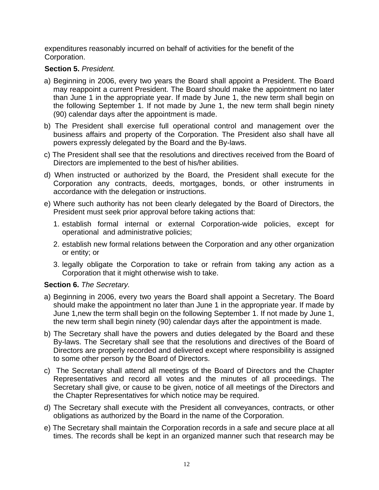expenditures reasonably incurred on behalf of activities for the benefit of the Corporation.

#### **Section 5.** *President.*

- a) Beginning in 2006, every two years the Board shall appoint a President. The Board may reappoint a current President. The Board should make the appointment no later than June 1 in the appropriate year. If made by June 1, the new term shall begin on the following September 1. If not made by June 1, the new term shall begin ninety (90) calendar days after the appointment is made.
- b) The President shall exercise full operational control and management over the business affairs and property of the Corporation. The President also shall have all powers expressly delegated by the Board and the By-laws.
- c) The President shall see that the resolutions and directives received from the Board of Directors are implemented to the best of his/her abilities.
- d) When instructed or authorized by the Board, the President shall execute for the Corporation any contracts, deeds, mortgages, bonds, or other instruments in accordance with the delegation or instructions.
- e) Where such authority has not been clearly delegated by the Board of Directors, the President must seek prior approval before taking actions that:
	- 1. establish formal internal or external Corporation-wide policies, except for operational and administrative policies;
	- 2. establish new formal relations between the Corporation and any other organization or entity; or
	- 3. legally obligate the Corporation to take or refrain from taking any action as a Corporation that it might otherwise wish to take.

#### **Section 6.** *The Secretary.*

- a) Beginning in 2006, every two years the Board shall appoint a Secretary. The Board should make the appointment no later than June 1 in the appropriate year. If made by June 1,new the term shall begin on the following September 1. If not made by June 1, the new term shall begin ninety (90) calendar days after the appointment is made.
- b) The Secretary shall have the powers and duties delegated by the Board and these By-laws. The Secretary shall see that the resolutions and directives of the Board of Directors are properly recorded and delivered except where responsibility is assigned to some other person by the Board of Directors.
- c) The Secretary shall attend all meetings of the Board of Directors and the Chapter Representatives and record all votes and the minutes of all proceedings. The Secretary shall give, or cause to be given, notice of all meetings of the Directors and the Chapter Representatives for which notice may be required.
- d) The Secretary shall execute with the President all conveyances, contracts, or other obligations as authorized by the Board in the name of the Corporation.
- e) The Secretary shall maintain the Corporation records in a safe and secure place at all times. The records shall be kept in an organized manner such that research may be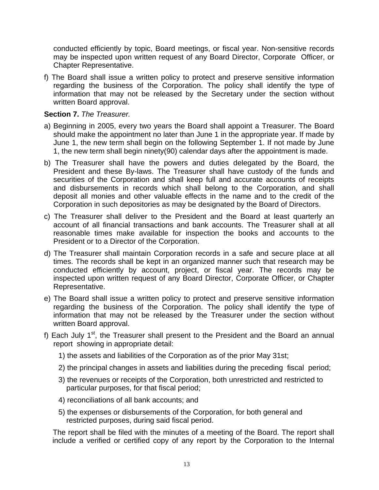conducted efficiently by topic, Board meetings, or fiscal year. Non-sensitive records may be inspected upon written request of any Board Director, Corporate Officer, or Chapter Representative.

f) The Board shall issue a written policy to protect and preserve sensitive information regarding the business of the Corporation. The policy shall identify the type of information that may not be released by the Secretary under the section without written Board approval.

#### **Section 7.** *The Treasurer.*

- a) Beginning in 2005, every two years the Board shall appoint a Treasurer. The Board should make the appointment no later than June 1 in the appropriate year. If made by June 1, the new term shall begin on the following September 1. If not made by June 1, the new term shall begin ninety(90) calendar days after the appointment is made.
- b) The Treasurer shall have the powers and duties delegated by the Board, the President and these By-laws. The Treasurer shall have custody of the funds and securities of the Corporation and shall keep full and accurate accounts of receipts and disbursements in records which shall belong to the Corporation, and shall deposit all monies and other valuable effects in the name and to the credit of the Corporation in such depositories as may be designated by the Board of Directors.
- c) The Treasurer shall deliver to the President and the Board at least quarterly an account of all financial transactions and bank accounts. The Treasurer shall at all reasonable times make available for inspection the books and accounts to the President or to a Director of the Corporation.
- d) The Treasurer shall maintain Corporation records in a safe and secure place at all times. The records shall be kept in an organized manner such that research may be conducted efficiently by account, project, or fiscal year. The records may be inspected upon written request of any Board Director, Corporate Officer, or Chapter Representative.
- e) The Board shall issue a written policy to protect and preserve sensitive information regarding the business of the Corporation. The policy shall identify the type of information that may not be released by the Treasurer under the section without written Board approval.
- f) Each July  $1<sup>st</sup>$ , the Treasurer shall present to the President and the Board an annual report showing in appropriate detail:
	- 1) the assets and liabilities of the Corporation as of the prior May 31st;
	- 2) the principal changes in assets and liabilities during the preceding fiscal period;
	- 3) the revenues or receipts of the Corporation, both unrestricted and restricted to particular purposes, for that fiscal period;
	- 4) reconciliations of all bank accounts; and
	- 5) the expenses or disbursements of the Corporation, for both general and restricted purposes, during said fiscal period.

The report shall be filed with the minutes of a meeting of the Board. The report shall include a verified or certified copy of any report by the Corporation to the Internal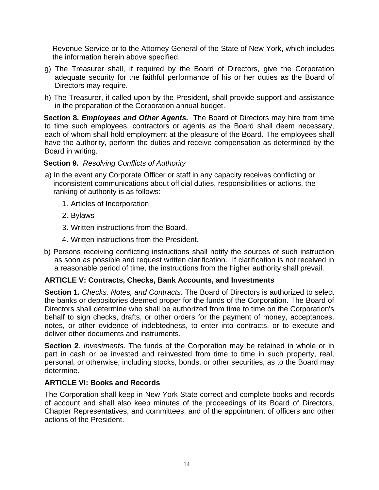Revenue Service or to the Attorney General of the State of New York, which includes the information herein above specified.

- g) The Treasurer shall, if required by the Board of Directors, give the Corporation adequate security for the faithful performance of his or her duties as the Board of Directors may require.
- h) The Treasurer, if called upon by the President, shall provide support and assistance in the preparation of the Corporation annual budget.

**Section 8.** *Employees and Other Agents.* The Board of Directors may hire from time to time such employees, contractors or agents as the Board shall deem necessary, each of whom shall hold employment at the pleasure of the Board. The employees shall have the authority, perform the duties and receive compensation as determined by the Board in writing.

#### **Section 9.** *Resolving Conflicts of Authority*

- a) In the event any Corporate Officer or staff in any capacity receives conflicting or inconsistent communications about official duties, responsibilities or actions, the ranking of authority is as follows:
	- 1. Articles of Incorporation
	- 2. Bylaws
	- 3. Written instructions from the Board.
	- 4. Written instructions from the President.
- b) Persons receiving conflicting instructions shall notify the sources of such instruction as soon as possible and request written clarification. If clarification is not received in a reasonable period of time, the instructions from the higher authority shall prevail.

#### **ARTICLE V: Contracts, Checks, Bank Accounts, and Investments**

**Section 1.** *Checks, Notes, and Contracts.* The Board of Directors is authorized to select the banks or depositories deemed proper for the funds of the Corporation. The Board of Directors shall determine who shall be authorized from time to time on the Corporation's behalf to sign checks, drafts, or other orders for the payment of money, acceptances, notes, or other evidence of indebtedness, to enter into contracts, or to execute and deliver other documents and instruments.

**Section 2**. *Investments*. The funds of the Corporation may be retained in whole or in part in cash or be invested and reinvested from time to time in such property, real, personal, or otherwise, including stocks, bonds, or other securities, as to the Board may determine.

#### **ARTICLE VI: Books and Records**

The Corporation shall keep in New York State correct and complete books and records of account and shall also keep minutes of the proceedings of its Board of Directors, Chapter Representatives, and committees, and of the appointment of officers and other actions of the President.